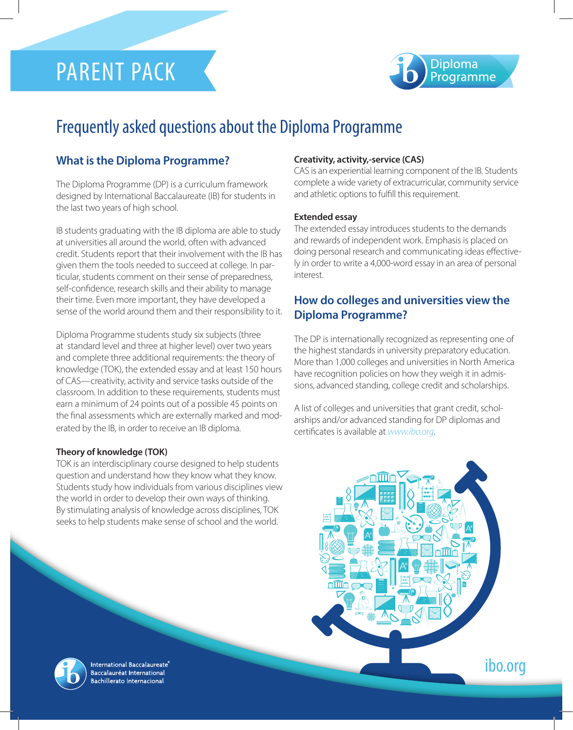# PARENT PACK



## Frequently asked questions about the Diploma Programme

#### **What is the Diploma Programme?**

The Diploma Programme (DP) is a curriculum framework designed by International Baccalaureate (IB) for students in the last two years of high school.

IB students graduating with the IB diploma are able to study at universities all around the world, often with advanced credit. Students report that their involvement with the IB has given them the tools needed to succeed at college. In particular, students comment on their sense of preparedness, self-confidence, research skills and their ability to manage their time. Even more important, they have developed a sense of the world around them and their responsibility to it.

Diploma Programme students study six subjects (three at standard level and three at higher level) over two years and complete three additional requirements: the theory of knowledge (TOK), the extended essay and at least 150 hours of CAS—creativity, activity and service tasks outside of the classroom. In addition to these requirements, students must earn a minimum of 24 points out of a possible 45 points on the final assessments which are externally marked and moderated by the IB, in order to receive an IB diploma.

#### **Theory of knowledge (TOK)**

TOK is an interdisciplinary course designed to help students question and understand how they know what they know. Students study how individuals from various disciplines view the world in order to develop their own ways of thinking. By stimulating analysis of knowledge across disciplines, TOK seeks to help students make sense of school and the world.

#### **Creativity, activity,-service (CAS)**

CAS is an experiential learning component of the IB. Students complete a wide variety of extracurricular, community service and athletic options to fulfill this requirement.

#### **Extended essay**

The extended essay introduces students to the demands and rewards of independent work. Emphasis is placed on doing personal research and communicating ideas effectively in order to write a 4,000-word essay in an area of personal interest.

#### **How do colleges and universities view the Diploma Programme?**

The DP is internationally recognized as representing one of the highest standards in university preparatory education. More than 1,000 colleges and universities in North America have recognition policies on how they weigh it in admissions, advanced standing, college credit and scholarships.

A list of colleges and universities that grant credit, scholarships and/or advanced standing for DP diplomas and certificates is available at *www.ibo.org*.





International Baccalaureate® Baccalauréat International **Bachillerato Internacional**